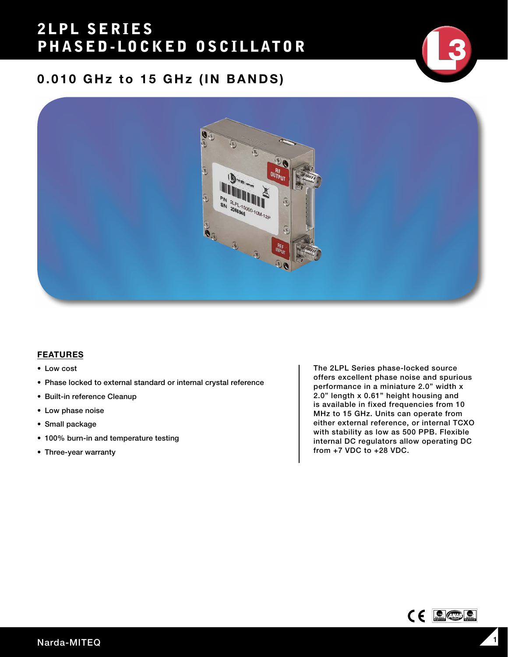## 2LPL SERIES PHASED-LOCKED OSCILLATOR

## 0.010 GHz to 15 GHz (IN BANDS)



#### FEATURES

- Low cost
- Phase locked to external standard or internal crystal reference
- Built-in reference Cleanup
- Low phase noise
- Small package
- 100% burn-in and temperature testing
- Three-year warranty

The 2LPL Series phase-locked source offers excellent phase noise and spurious performance in a miniature 2.0" width x 2.0" length x 0.61" height housing and is available in fixed frequencies from 10 MHz to 15 GHz. Units can operate from either external reference, or internal TCXO with stability as low as 500 PPB. Flexible internal DC regulators allow operating DC from +7 VDC to +28 VDC.

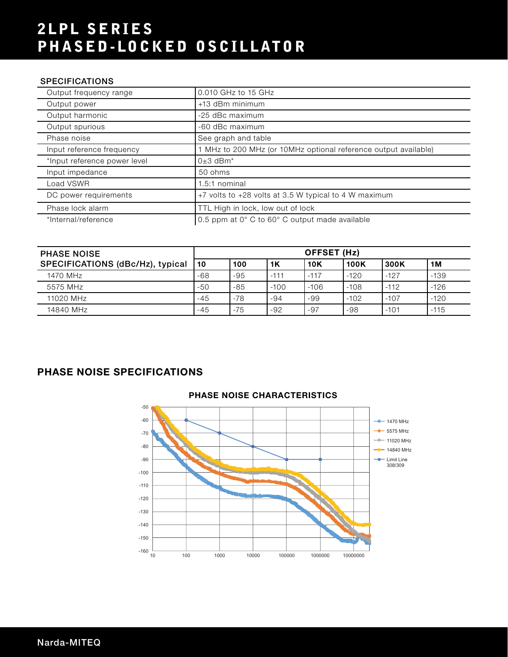# 2LPL SERIES PHASED-LOCKED OSCILLATOR

### SPECIFICATIONS

| Output frequency range       | 0.010 GHz to 15 GHz                                             |
|------------------------------|-----------------------------------------------------------------|
| Output power                 | +13 dBm minimum                                                 |
| Output harmonic              | -25 dBc maximum                                                 |
| Output spurious              | -60 dBc maximum                                                 |
| Phase noise                  | See graph and table                                             |
| Input reference frequency    | 1 MHz to 200 MHz (or 10MHz optional reference output available) |
| *Input reference power level | $0±3$ dBm <sup>*</sup>                                          |
| Input impedance              | 50 ohms                                                         |
| Load VSWR                    | $1.5:1$ nominal                                                 |
| DC power requirements        | +7 volts to +28 volts at 3.5 W typical to 4 W maximum           |
| Phase lock alarm             | TTL High in lock, low out of lock                               |
| *Internal/reference          | 0.5 ppm at 0° C to 60° C output made available                  |

| <b>PHASE NOISE</b>               | OFFSET (Hz) |       |        |            |             |        |        |
|----------------------------------|-------------|-------|--------|------------|-------------|--------|--------|
| SPECIFICATIONS (dBc/Hz), typical | 10          | 100   | 1K     | <b>10K</b> | <b>100K</b> | 300K   | 1M     |
| 1470 MHz                         | $-68$       | $-95$ | $-111$ | $-117$     | $-120$      | $-127$ | $-139$ |
| 5575 MHz                         | $-50$       | $-85$ | $-100$ | $-106$     | $-108$      | $-112$ | $-126$ |
| 11020 MHz                        | -45         | $-78$ | $-94$  | -99        | $-102$      | $-107$ | $-120$ |
| 14840 MHz                        | -45         | $-75$ | $-92$  | $-97$      | $-98$       | $-101$ | $-115$ |

### PHASE NOISE SPECIFICATIONS



### PHASE NOISE CHARACTERISTICS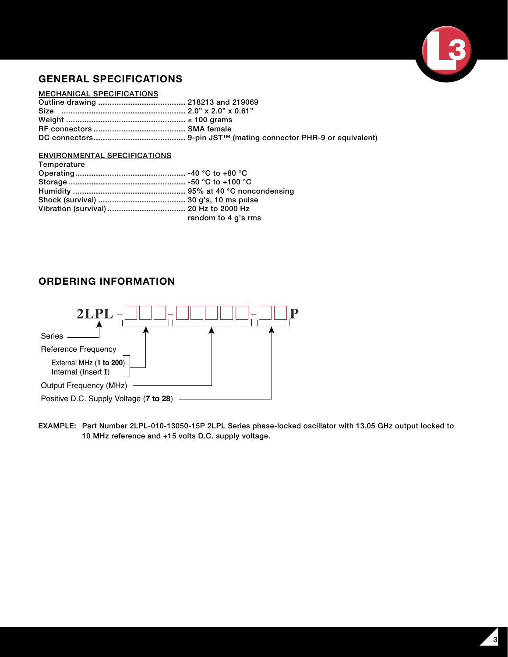

### GENERAL SPECIFICATIONS

#### MECHANICAL SPECIFICATIONS

### ENVIRONMENTAL SPECIFICATIONS

| Temperature |                     |
|-------------|---------------------|
|             |                     |
|             |                     |
|             |                     |
|             |                     |
|             |                     |
|             | random to 4 g's rms |

### ORDERING INFORMATION



EXAMPLE: Part Number 2LPL-010-13050-15P 2LPL Series phase-locked oscillator with 13.05 GHz output locked to 10 MHz reference and +15 volts D.C. supply voltage.